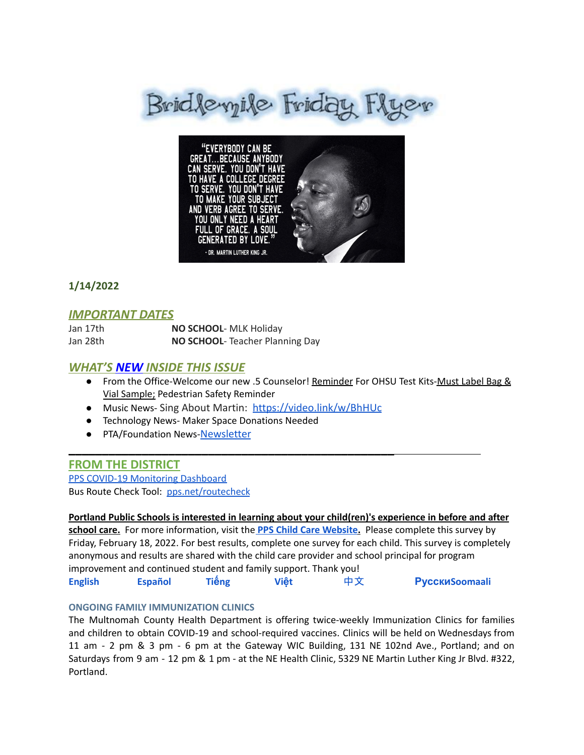



# **1/14/2022**

# *IMPORTANT DATES*

| Jan 17th | NO SCHOOL- MLK Holiday         |
|----------|--------------------------------|
| Jan 28th | NO SCHOOL-Teacher Planning Day |

#### *WHAT'S NEW INSIDE THIS ISSUE*

- From the Office-Welcome our new .5 Counselor! Reminder For OHSU Test Kits-Must Label Bag & Vial Sample; Pedestrian Safety Reminder
- Music News- Sing About Martin: <https://video.link/w/BhHUc>

\_\_\_\_\_\_\_\_\_\_\_\_\_\_\_\_\_\_\_\_\_\_\_\_\_\_\_\_\_\_\_\_\_\_\_\_\_\_\_\_\_\_\_\_\_\_\_\_\_

- Technology News- Maker Space Donations Needed
- PTA/Foundation News-[Newsletter](https://docs.google.com/document/u/1/d/e/2PACX-1vQlZCPHtKxqO7qpJwiwgoeaZ1ERHVLgg6z0JNYJMTulwn7xlOVY_X2I1ZV9nntsGHP57LEZ_uSufaFj/pub)

#### **FROM THE DISTRICT**

PPS COVID-19 [Monitoring](https://www.pps.net/COVID19Dashboard) Dashboard Bus Route Check Tool: [pps.net/routecheck](https://www.pps.net/routecheck)

#### **Portland Public Schools is interested in learning about your child(ren)'s experience in before and after**

**school care.** For more information, visit the **PPS Child Care [Website](https://www.pps.net/Domain/184).** Please complete this survey by Friday, February 18, 2022. For best results, complete one survey for each child. This survey is completely anonymous and results are shared with the child care provider and school principal for program improvement and continued student and family support. Thank you[!](https://docs.google.com/forms/d/e/1FAIpQLSe4ju_KHhNDrYUTpQspHOKeHsD30YX7RYNktKVNLNI1ucNepw/viewform)

**[English](https://docs.google.com/forms/d/e/1FAIpQLSe4ju_KHhNDrYUTpQspHOKeHsD30YX7RYNktKVNLNI1ucNepw/viewform) [Español](https://docs.google.com/forms/d/e/1FAIpQLSfT162f9kmF2K4uFUCeqewRpLVSkIpIzp-Tj-3UrtpjUJC10A/viewform) Tiế[ng](https://docs.google.com/forms/d/e/1FAIpQLSf0XMr-Rb2DMgB6_FpBuoFk-jj__wrg64UwJMtLo0Cc-N2yzw/viewform) Việt** [中文](https://docs.google.com/forms/d/e/1FAIpQLSfwtKUiF46xdxHEOT7q2SE5Mv1-RN1LJZEtgrvzhQOtRVDiuw/viewform) **[Русски](https://docs.google.com/forms/d/e/1FAIpQLSebLU_9cDi8U-m8LxcMbt13b2FISUl9npq3zj9Jx0R7epIgYg/viewform)[Soomaali](https://docs.google.com/forms/d/e/1FAIpQLSee-BW5UjE-UACVQLN-oEQLaI5PwcaA0FswL5tMSqPZW09qlA/viewform)**

#### **ONGOING FAMILY IMMUNIZATION CLINICS**

The Multnomah County Health Department is offering twice-weekly Immunization Clinics for families and children to obtain COVID-19 and school-required vaccines. Clinics will be held on Wednesdays from 11 am - 2 pm & 3 pm - 6 pm at the Gateway WIC Building, 131 NE 102nd Ave., Portland; and on Saturdays from 9 am - 12 pm & 1 pm - at the NE Health Clinic, 5329 NE Martin Luther King Jr Blvd. #322, Portland.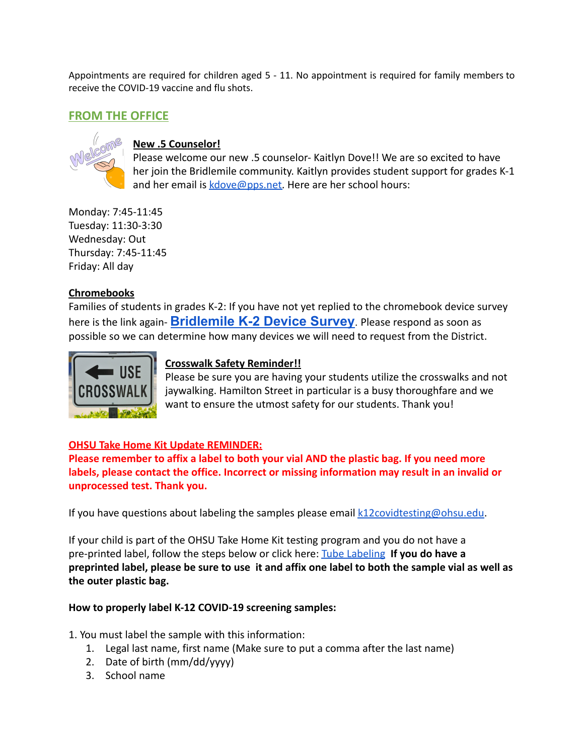Appointments are required for children aged 5 - 11. No appointment is required for family members to receive the COVID-19 vaccine and flu shots.

# **FROM THE OFFICE**



#### **New .5 Counselor!**

Please welcome our new .5 counselor- Kaitlyn Dove!! We are so excited to have her join the Bridlemile community. Kaitlyn provides student support for grades K-1 and her email is [kdove@pps.net.](mailto:kdove@pps.net) Here are her school hours:

Monday: 7:45-11:45 Tuesday: 11:30-3:30 Wednesday: Out Thursday: 7:45-11:45 Friday: All day

### **Chromebooks**

Families of students in grades K-2: If you have not yet replied to the chromebook device survey here is the link again- **[Bridlemile](https://forms.gle/j7cAboXiT5rkP4qe7) K-2 Device Survey**. Please respond as soon as possible so we can determine how many devices we will need to request from the District.



# **Crosswalk Safety Reminder!!**

Please be sure you are having your students utilize the crosswalks and not jaywalking. Hamilton Street in particular is a busy thoroughfare and we want to ensure the utmost safety for our students. Thank you!

### **OHSU Take Home Kit Update REMINDER:**

**Please remember to affix a label to both your vial AND the plastic bag. If you need more labels, please contact the office. Incorrect or missing information may result in an invalid or unprocessed test. Thank you.**

If you have questions about labeling the samples please email [k12covidtesting@ohsu.edu.](mailto:k12covidtesting@ohsu.edu)

If your child is part of the OHSU Take Home Kit testing program and you do not have a pre-printed label, follow the steps below or click here: [Tube Labeling](https://drive.google.com/file/d/12DJPgCLKGh6HKLIVwIbdY0qCuDRmFivT/view) **If you do have a preprinted label, please be sure to use it and affix one label to both the sample vial as well as the outer plastic bag.**

### **How to properly label K-12 COVID-19 screening samples:**

- 1. You must label the sample with this information:
	- 1. Legal last name, first name (Make sure to put a comma after the last name)
	- 2. Date of birth (mm/dd/yyyy)
	- 3. School name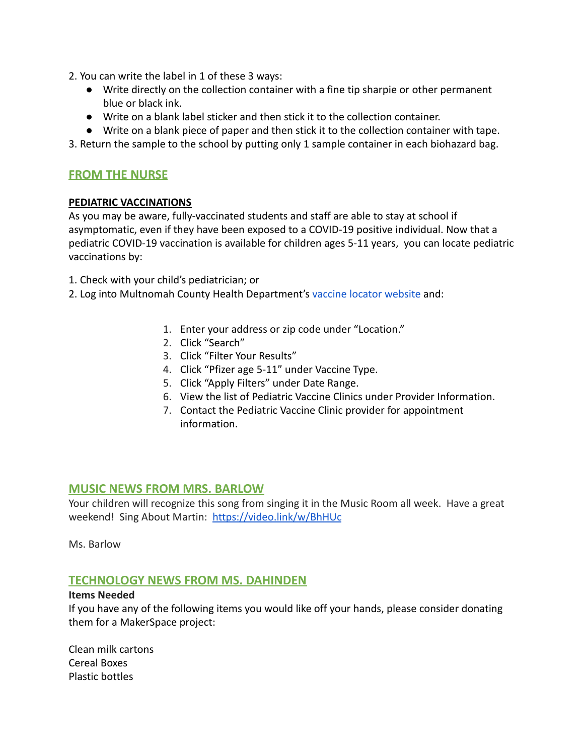- 2. You can write the label in 1 of these 3 ways:
	- Write directly on the collection container with a fine tip sharpie or other permanent blue or black ink.
	- Write on a blank label sticker and then stick it to the collection container.
	- Write on a blank piece of paper and then stick it to the collection container with tape.

3. Return the sample to the school by putting only 1 sample container in each biohazard bag.

## **FROM THE NURSE**

#### **PEDIATRIC VACCINATIONS**

As you may be aware, fully-vaccinated students and staff are able to stay at school if asymptomatic, even if they have been exposed to a COVID-19 positive individual. Now that a pediatric COVID-19 vaccination is available for children ages 5-11 years, you can locate pediatric vaccinations by:

1. Check with your child's pediatrician; or

- 2. Log into Multnomah County Health Department's vaccine [locator website](https://getvaccinated.oregon.gov/#/locator) and:
	- 1. Enter your address or zip code under "Location."
	- 2. Click "Search"
	- 3. Click "Filter Your Results"
	- 4. Click "Pfizer age 5-11" under Vaccine Type.
	- 5. Click "Apply Filters" under Date Range.
	- 6. View the list of Pediatric Vaccine Clinics under Provider Information.
	- 7. Contact the Pediatric Vaccine Clinic provider for appointment information.

### **MUSIC NEWS FROM MRS. BARLOW**

Your children will recognize this song from singing it in the Music Room all week. Have a great weekend! Sing About Martin: <https://video.link/w/BhHUc>

Ms. Barlow

### **TECHNOLOGY NEWS FROM MS. DAHINDEN**

#### **Items Needed**

If you have any of the following items you would like off your hands, please consider donating them for a MakerSpace project:

Clean milk cartons Cereal Boxes Plastic bottles